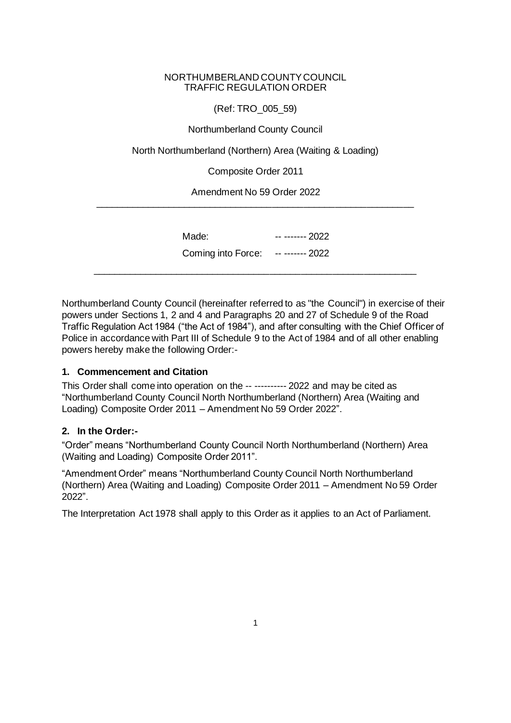#### NORTHUMBERLAND COUNTY COUNCIL TRAFFIC REGULATION ORDER

(Ref: TRO\_005\_59)

Northumberland County Council

North Northumberland (Northern) Area (Waiting & Loading)

Composite Order 2011

Amendment No 59 Order 2022 \_\_\_\_\_\_\_\_\_\_\_\_\_\_\_\_\_\_\_\_\_\_\_\_\_\_\_\_\_\_\_\_\_\_\_\_\_\_\_\_\_\_\_\_\_\_\_\_\_\_\_\_\_\_\_\_\_\_\_\_\_

| Made:                              | -- ------- 2022 |  |
|------------------------------------|-----------------|--|
| Coming into Force: -- ------- 2022 |                 |  |
|                                    |                 |  |

Northumberland County Council (hereinafter referred to as "the Council") in exercise of their powers under Sections 1, 2 and 4 and Paragraphs 20 and 27 of Schedule 9 of the Road Traffic Regulation Act 1984 ("the Act of 1984"), and after consulting with the Chief Officer of Police in accordance with Part III of Schedule 9 to the Act of 1984 and of all other enabling powers hereby make the following Order:-

# **1. Commencement and Citation**

This Order shall come into operation on the -- ---------- 2022 and may be cited as "Northumberland County Council North Northumberland (Northern) Area (Waiting and Loading) Composite Order 2011 – Amendment No 59 Order 2022".

# **2. In the Order:-**

"Order" means "Northumberland County Council North Northumberland (Northern) Area (Waiting and Loading) Composite Order 2011".

"Amendment Order" means "Northumberland County Council North Northumberland (Northern) Area (Waiting and Loading) Composite Order 2011 – Amendment No 59 Order 2022".

The Interpretation Act 1978 shall apply to this Order as it applies to an Act of Parliament.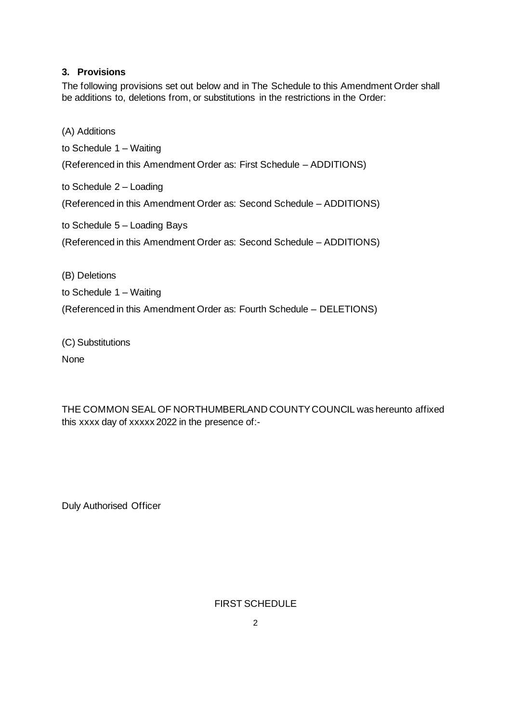### **3. Provisions**

The following provisions set out below and in The Schedule to this Amendment Order shall be additions to, deletions from, or substitutions in the restrictions in the Order:

(A) Additions

to Schedule 1 – Waiting

(Referenced in this Amendment Order as: First Schedule – ADDITIONS)

to Schedule 2 – Loading

(Referenced in this Amendment Order as: Second Schedule – ADDITIONS)

to Schedule 5 – Loading Bays

(Referenced in this Amendment Order as: Second Schedule – ADDITIONS)

(B) Deletions

to Schedule 1 – Waiting

(Referenced in this Amendment Order as: Fourth Schedule – DELETIONS)

(C) Substitutions None

THE COMMON SEAL OF NORTHUMBERLAND COUNTY COUNCIL was hereunto affixed this xxxx day of xxxxx 2022 in the presence of:-

Duly Authorised Officer

FIRST SCHEDULE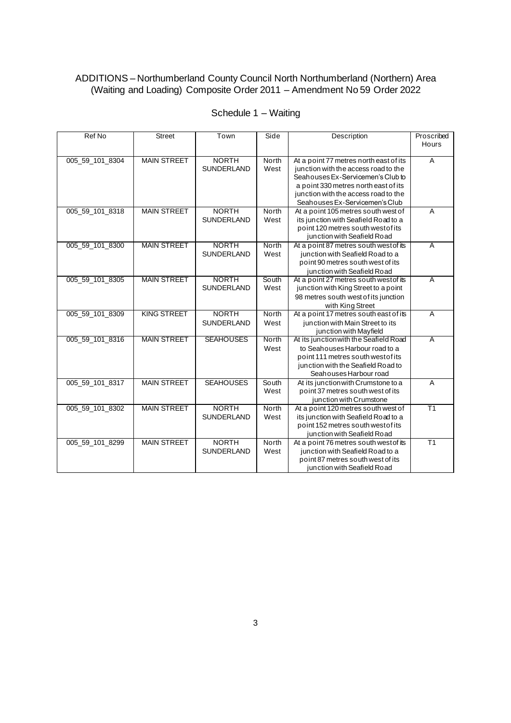#### ADDITIONS – Northumberland County Council North Northumberland (Northern) Area (Waiting and Loading) Composite Order 2011 – Amendment No 59 Order 2022

| Ref No          | <b>Street</b>      | Town              | Side         | Description                            | Proscribed      |
|-----------------|--------------------|-------------------|--------------|----------------------------------------|-----------------|
|                 |                    |                   |              |                                        | Hours           |
|                 |                    |                   |              |                                        |                 |
| 005 59 101 8304 | <b>MAIN STREET</b> | <b>NORTH</b>      | North        | At a point 77 metres north east of its | $\overline{A}$  |
|                 |                    | <b>SUNDERLAND</b> | West         | junction with the access road to the   |                 |
|                 |                    |                   |              | Seahouses Ex-Servicemen's Club to      |                 |
|                 |                    |                   |              | a point 330 metres north east of its   |                 |
|                 |                    |                   |              | junction with the access road to the   |                 |
|                 |                    |                   |              | Seahouses Ex-Servicemen's Club         |                 |
| 005_59_101_8318 | <b>MAIN STREET</b> | <b>NORTH</b>      | North        | At a point 105 metres south west of    | $\overline{A}$  |
|                 |                    | <b>SUNDERLAND</b> | West         | its junction with Seafield Road to a   |                 |
|                 |                    |                   |              | point 120 metres south west of its     |                 |
|                 |                    |                   |              | junction with Seafield Road            |                 |
| 005_59_101_8300 | <b>MAIN STREET</b> | <b>NORTH</b>      | North        | At a point 87 metres south west of its | $\overline{A}$  |
|                 |                    | <b>SUNDERLAND</b> | West         | junction with Seafield Road to a       |                 |
|                 |                    |                   |              | point 90 metres south west of its      |                 |
|                 |                    |                   |              | junction with Seafield Road            |                 |
| 005 59 101 8305 | <b>MAIN STREET</b> | <b>NORTH</b>      | South        | At a point 27 metres south west of its | $\overline{A}$  |
|                 |                    | <b>SUNDERLAND</b> | West         | junction with King Street to a point   |                 |
|                 |                    |                   |              | 98 metres south west of its junction   |                 |
|                 |                    |                   |              | with King Street                       |                 |
| 005 59 101 8309 | <b>KING STREET</b> | <b>NORTH</b>      | <b>North</b> | At a point 17 metres south east of its | $\overline{A}$  |
|                 |                    | <b>SUNDERLAND</b> | West         | junction with Main Street to its       |                 |
|                 |                    |                   |              | junction with Mayfield                 |                 |
| 005 59 101 8316 | <b>MAIN STREET</b> | <b>SEAHOUSES</b>  | North        | At its junction with the Seafield Road | $\overline{A}$  |
|                 |                    |                   | West         | to Seahouses Harbour road to a         |                 |
|                 |                    |                   |              | point 111 metres south west of its     |                 |
|                 |                    |                   |              | junction with the Seafield Road to     |                 |
|                 |                    |                   |              | Seahouses Harbour road                 |                 |
| 005_59_101_8317 | <b>MAIN STREET</b> | <b>SEAHOUSES</b>  | South        | At its junction with Crumstone to a    | $\overline{A}$  |
|                 |                    |                   | West         | point 37 metres south west of its      |                 |
|                 |                    |                   |              | junction with Crumstone                |                 |
| 005_59_101_8302 | <b>MAIN STREET</b> | <b>NORTH</b>      | North        | At a point 120 metres south west of    | $\overline{T1}$ |
|                 |                    | <b>SUNDERLAND</b> | West         | its junction with Seafield Road to a   |                 |
|                 |                    |                   |              | point 152 metres south west of its     |                 |
|                 |                    |                   |              | junction with Seafield Road            |                 |
| 005 59 101 8299 | <b>MAIN STREET</b> | <b>NORTH</b>      | North        | At a point 76 metres south west of its | T1              |
|                 |                    | <b>SUNDERLAND</b> | West         | junction with Seafield Road to a       |                 |
|                 |                    |                   |              | point 87 metres south west of its      |                 |
|                 |                    |                   |              | junction with Seafield Road            |                 |

# Schedule 1 – Waiting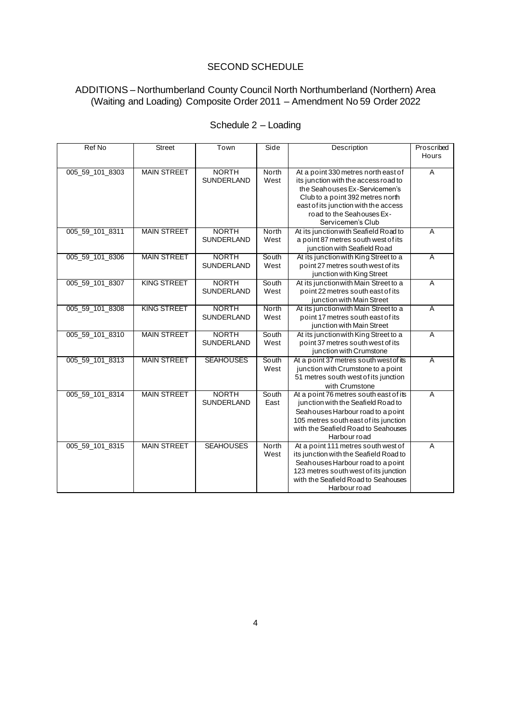### SECOND SCHEDULE

#### ADDITIONS – Northumberland County Council North Northumberland (Northern) Area (Waiting and Loading) Composite Order 2011 – Amendment No 59 Order 2022

| Ref No          | <b>Street</b>      | Town              | Side  | Description                            | Proscribed              |
|-----------------|--------------------|-------------------|-------|----------------------------------------|-------------------------|
|                 |                    |                   |       |                                        | Hours                   |
|                 |                    |                   |       |                                        |                         |
| 005_59_101_8303 | <b>MAIN STREET</b> | <b>NORTH</b>      | North | At a point 330 metres north east of    | $\overline{A}$          |
|                 |                    | <b>SUNDERLAND</b> | West  | its junction with the access road to   |                         |
|                 |                    |                   |       | the Seahouses Ex-Servicemen's          |                         |
|                 |                    |                   |       | Club to a point 392 metres north       |                         |
|                 |                    |                   |       | east of its junction with the access   |                         |
|                 |                    |                   |       | road to the Seahouses Ex-              |                         |
|                 |                    |                   |       | Servicemen's Club                      |                         |
| 005_59_101_8311 | <b>MAIN STREET</b> | <b>NORTH</b>      | North | At its junction with Seafield Road to  | $\overline{A}$          |
|                 |                    | SUNDERLAND        | West  | a point 87 metres south west of its    |                         |
|                 |                    |                   |       | junction with Seafield Road            |                         |
| 005_59_101_8306 | <b>MAIN STREET</b> | <b>NORTH</b>      | South | At its junction with King Street to a  | $\overline{A}$          |
|                 |                    | <b>SUNDERLAND</b> | West  | point 27 metres south west of its      |                         |
|                 |                    |                   |       | junction with King Street              |                         |
| 005 59 101 8307 | <b>KING STREET</b> | <b>NORTH</b>      | South | At its junction with Main Street to a  | $\overline{\mathsf{A}}$ |
|                 |                    | SUNDERLAND        | West  | point 22 metres south east of its      |                         |
|                 |                    |                   |       | junction with Main Street              |                         |
| 005_59_101_8308 | <b>KING STREET</b> | <b>NORTH</b>      | North | At its junction with Main Street to a  | $\overline{A}$          |
|                 |                    | <b>SUNDERLAND</b> | West  | point 17 metres south east of its      |                         |
|                 |                    |                   |       | junction with Main Street              |                         |
| 005_59_101_8310 | <b>MAIN STREET</b> | <b>NORTH</b>      | South | At its junction with King Street to a  | $\overline{A}$          |
|                 |                    | SUNDERLAND        | West  | point 37 metres south west of its      |                         |
|                 |                    |                   |       | junction with Crumstone                |                         |
| 005_59_101_8313 | <b>MAIN STREET</b> | <b>SEAHOUSES</b>  | South | At a point 37 metres south west of its | $\overline{A}$          |
|                 |                    |                   | West  | junction with Crumstone to a point     |                         |
|                 |                    |                   |       | 51 metres south west of its junction   |                         |
|                 |                    |                   |       | with Crumstone                         |                         |
| 005_59_101_8314 | <b>MAIN STREET</b> | <b>NORTH</b>      | South | At a point 76 metres south east of its | $\overline{A}$          |
|                 |                    | <b>SUNDERLAND</b> | East  | junction with the Seafield Road to     |                         |
|                 |                    |                   |       | Seahouses Harbour road to a point      |                         |
|                 |                    |                   |       | 105 metres south east of its junction  |                         |
|                 |                    |                   |       | with the Seafield Road to Seahouses    |                         |
|                 |                    |                   |       | Harbour road                           |                         |
| 005_59_101_8315 | <b>MAIN STREET</b> | <b>SEAHOUSES</b>  | North | At a point 111 metres south west of    | A                       |
|                 |                    |                   | West  | its junction with the Seafield Road to |                         |
|                 |                    |                   |       | Seahouses Harbour road to a point      |                         |
|                 |                    |                   |       | 123 metres south west of its junction  |                         |
|                 |                    |                   |       | with the Seafield Road to Seahouses    |                         |
|                 |                    |                   |       | Harbour road                           |                         |

# Schedule 2 – Loading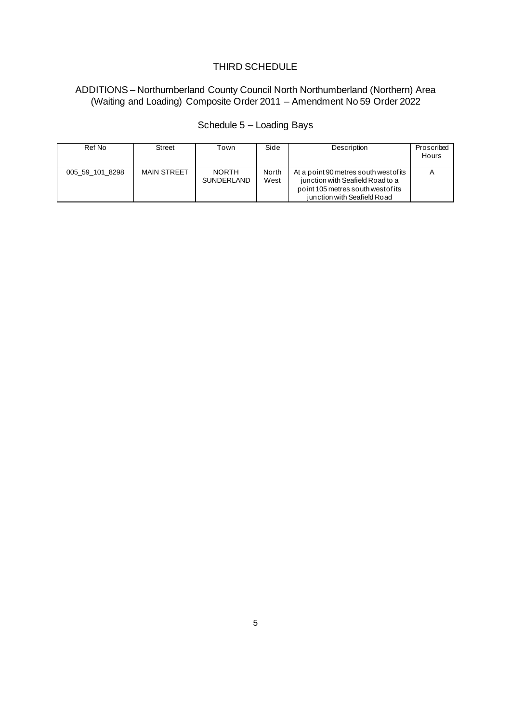### THIRD SCHEDULE

#### ADDITIONS – Northumberland County Council North Northumberland (Northern) Area (Waiting and Loading) Composite Order 2011 – Amendment No 59 Order 2022

| Ref No          | <b>Street</b> | Town                              | Side          | <b>Description</b>                                                                                                                              | Proscribed<br>Hours |
|-----------------|---------------|-----------------------------------|---------------|-------------------------------------------------------------------------------------------------------------------------------------------------|---------------------|
| 005 59 101 8298 | MAIN STREET   | <b>NORTH</b><br><b>SUNDERLAND</b> | North<br>West | At a point 90 metres south west of its<br>junction with Seafield Road to a<br>point 105 metres south west of its<br>junction with Seafield Road |                     |

# Schedule 5 – Loading Bays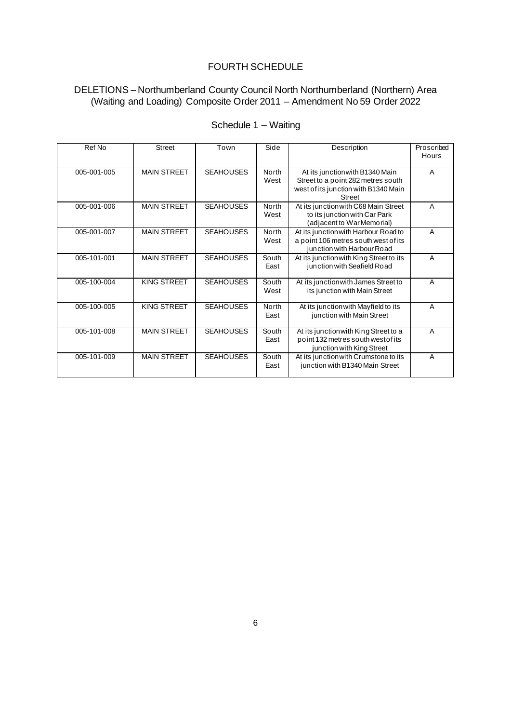### FOURTH SCHEDULE

#### DELETIONS – Northumberland County Council North Northumberland (Northern) Area (Waiting and Loading) Composite Order 2011 – Amendment No 59 Order 2022

| Ref No      | <b>Street</b>      | Town             | Side          | Description                                                                                                                    | Proscribed<br>Hours |
|-------------|--------------------|------------------|---------------|--------------------------------------------------------------------------------------------------------------------------------|---------------------|
| 005-001-005 | <b>MAIN STREET</b> | <b>SEAHOUSES</b> | North<br>West | At its junction with B1340 Main<br>Street to a point 282 metres south<br>west of its junction with B1340 Main<br><b>Street</b> | A                   |
| 005-001-006 | <b>MAIN STREET</b> | <b>SEAHOUSES</b> | North<br>West | At its junction with C68 Main Street<br>to its junction with Car Park<br>(adjacent to War Memorial)                            | A                   |
| 005-001-007 | <b>MAIN STREET</b> | <b>SEAHOUSES</b> | North<br>West | At its junction with Harbour Road to<br>a point 106 metres south west of its<br>junction with Harbour Road                     | A                   |
| 005-101-001 | <b>MAIN STREET</b> | <b>SEAHOUSES</b> | South<br>East | At its junction with King Street to its<br>junction with Seafield Road                                                         | A                   |
| 005-100-004 | KING STREET        | <b>SEAHOUSES</b> | South<br>West | At its junction with James Street to<br>its junction with Main Street                                                          | A                   |
| 005-100-005 | KING STREET        | <b>SEAHOUSES</b> | North<br>East | At its junction with Mayfield to its<br>junction with Main Street                                                              | A                   |
| 005-101-008 | <b>MAIN STREET</b> | <b>SEAHOUSES</b> | South<br>East | At its junction with King Street to a<br>point 132 metres south west of its<br>junction with King Street                       | A                   |
| 005-101-009 | <b>MAIN STREET</b> | <b>SEAHOUSES</b> | South<br>East | At its junction with Crumstone to its<br>junction with B1340 Main Street                                                       | A                   |

# Schedule 1 – Waiting